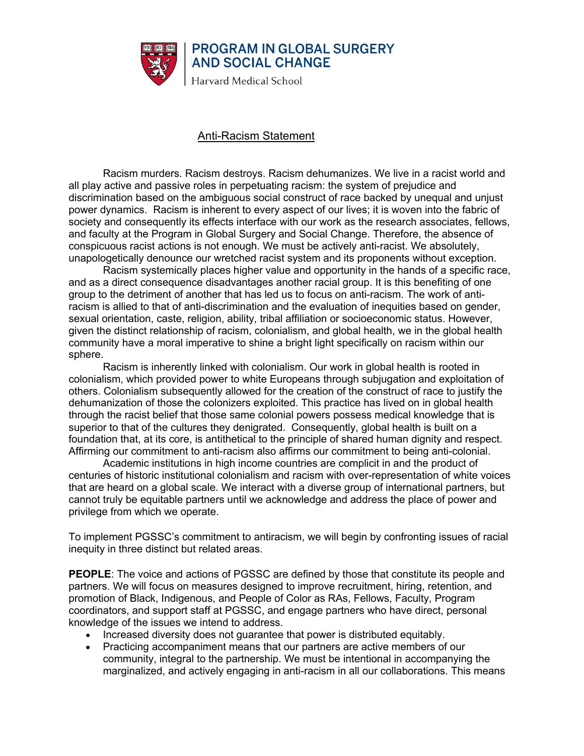

## Anti-Racism Statement

Racism murders. Racism destroys. Racism dehumanizes. We live in a racist world and all play active and passive roles in perpetuating racism: the system of prejudice and discrimination based on the ambiguous social construct of race backed by unequal and unjust power dynamics. Racism is inherent to every aspect of our lives; it is woven into the fabric of society and consequently its effects interface with our work as the research associates, fellows, and faculty at the Program in Global Surgery and Social Change. Therefore, the absence of conspicuous racist actions is not enough. We must be actively anti-racist. We absolutely, unapologetically denounce our wretched racist system and its proponents without exception.

Racism systemically places higher value and opportunity in the hands of a specific race, and as a direct consequence disadvantages another racial group. It is this benefiting of one group to the detriment of another that has led us to focus on anti-racism. The work of antiracism is allied to that of anti-discrimination and the evaluation of inequities based on gender, sexual orientation, caste, religion, ability, tribal affiliation or socioeconomic status. However, given the distinct relationship of racism, colonialism, and global health, we in the global health community have a moral imperative to shine a bright light specifically on racism within our sphere.

Racism is inherently linked with colonialism. Our work in global health is rooted in colonialism, which provided power to white Europeans through subjugation and exploitation of others. Colonialism subsequently allowed for the creation of the construct of race to justify the dehumanization of those the colonizers exploited. This practice has lived on in global health through the racist belief that those same colonial powers possess medical knowledge that is superior to that of the cultures they denigrated. Consequently, global health is built on a foundation that, at its core, is antithetical to the principle of shared human dignity and respect. Affirming our commitment to anti-racism also affirms our commitment to being anti-colonial.

Academic institutions in high income countries are complicit in and the product of centuries of historic institutional colonialism and racism with over-representation of white voices that are heard on a global scale. We interact with a diverse group of international partners, but cannot truly be equitable partners until we acknowledge and address the place of power and privilege from which we operate.

To implement PGSSC's commitment to antiracism, we will begin by confronting issues of racial inequity in three distinct but related areas.

**PEOPLE**: The voice and actions of PGSSC are defined by those that constitute its people and partners. We will focus on measures designed to improve recruitment, hiring, retention, and promotion of Black, Indigenous, and People of Color as RAs, Fellows, Faculty, Program coordinators, and support staff at PGSSC, and engage partners who have direct, personal knowledge of the issues we intend to address.

- Increased diversity does not guarantee that power is distributed equitably.
- Practicing accompaniment means that our partners are active members of our community, integral to the partnership. We must be intentional in accompanying the marginalized, and actively engaging in anti-racism in all our collaborations. This means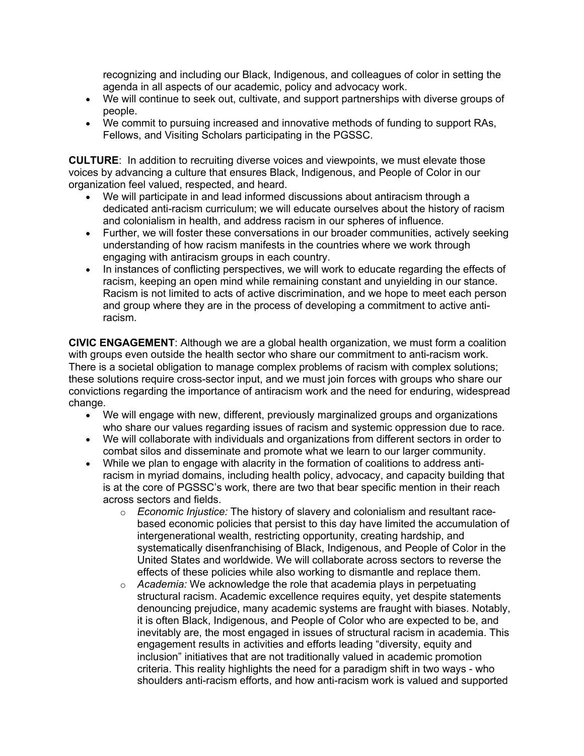recognizing and including our Black, Indigenous, and colleagues of color in setting the agenda in all aspects of our academic, policy and advocacy work.

- We will continue to seek out, cultivate, and support partnerships with diverse groups of people.
- We commit to pursuing increased and innovative methods of funding to support RAs, Fellows, and Visiting Scholars participating in the PGSSC.

**CULTURE**: In addition to recruiting diverse voices and viewpoints, we must elevate those voices by advancing a culture that ensures Black, Indigenous, and People of Color in our organization feel valued, respected, and heard.

- We will participate in and lead informed discussions about antiracism through a dedicated anti-racism curriculum; we will educate ourselves about the history of racism and colonialism in health, and address racism in our spheres of influence.
- Further, we will foster these conversations in our broader communities, actively seeking understanding of how racism manifests in the countries where we work through engaging with antiracism groups in each country.
- In instances of conflicting perspectives, we will work to educate regarding the effects of racism, keeping an open mind while remaining constant and unyielding in our stance. Racism is not limited to acts of active discrimination, and we hope to meet each person and group where they are in the process of developing a commitment to active antiracism.

**CIVIC ENGAGEMENT**: Although we are a global health organization, we must form a coalition with groups even outside the health sector who share our commitment to anti-racism work. There is a societal obligation to manage complex problems of racism with complex solutions; these solutions require cross-sector input, and we must join forces with groups who share our convictions regarding the importance of antiracism work and the need for enduring, widespread change.

- We will engage with new, different, previously marginalized groups and organizations who share our values regarding issues of racism and systemic oppression due to race.
- We will collaborate with individuals and organizations from different sectors in order to combat silos and disseminate and promote what we learn to our larger community.
- While we plan to engage with alacrity in the formation of coalitions to address antiracism in myriad domains, including health policy, advocacy, and capacity building that is at the core of PGSSC's work, there are two that bear specific mention in their reach across sectors and fields.
	- o *Economic Injustice:* The history of slavery and colonialism and resultant racebased economic policies that persist to this day have limited the accumulation of intergenerational wealth, restricting opportunity, creating hardship, and systematically disenfranchising of Black, Indigenous, and People of Color in the United States and worldwide. We will collaborate across sectors to reverse the effects of these policies while also working to dismantle and replace them.
	- o *Academia:* We acknowledge the role that academia plays in perpetuating structural racism. Academic excellence requires equity, yet despite statements denouncing prejudice, many academic systems are fraught with biases. Notably, it is often Black, Indigenous, and People of Color who are expected to be, and inevitably are, the most engaged in issues of structural racism in academia. This engagement results in activities and efforts leading "diversity, equity and inclusion" initiatives that are not traditionally valued in academic promotion criteria. This reality highlights the need for a paradigm shift in two ways - who shoulders anti-racism efforts, and how anti-racism work is valued and supported